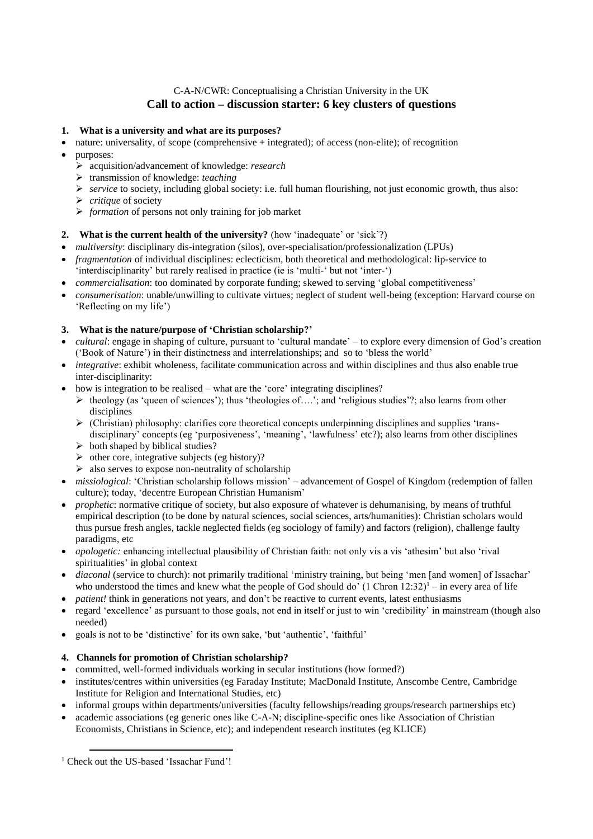# C-A-N/CWR: Conceptualising a Christian University in the UK **Call to action – discussion starter: 6 key clusters of questions**

## **1. What is a university and what are its purposes?**

- $\bullet$  nature: universality, of scope (comprehensive + integrated); of access (non-elite); of recognition
- purposes:
	- acquisition/advancement of knowledge: *research*
	- transmission of knowledge: *teaching*
	- *service* to society, including global society: i.e. full human flourishing, not just economic growth, thus also:
	- *critique* of society
	- *formation* of persons not only training for job market

#### **2. What is the current health of the university?** (how 'inadequate' or 'sick'?)

- *multiversity*: disciplinary dis-integration (silos), over-specialisation/professionalization (LPUs)
- *fragmentation* of individual disciplines: eclecticism, both theoretical and methodological: lip-service to 'interdisciplinarity' but rarely realised in practice (ie is 'multi-' but not 'inter-')
- *commercialisation*: too dominated by corporate funding; skewed to serving 'global competitiveness'
- *consumerisation*: unable/unwilling to cultivate virtues; neglect of student well-being (exception: Harvard course on 'Reflecting on my life')

#### **3. What is the nature/purpose of 'Christian scholarship?'**

- *cultural*: engage in shaping of culture, pursuant to 'cultural mandate' to explore every dimension of God's creation ('Book of Nature') in their distinctness and interrelationships; and so to 'bless the world'
- *integrative*: exhibit wholeness, facilitate communication across and within disciplines and thus also enable true inter-disciplinarity:
- $\bullet$  how is integration to be realised what are the 'core' integrating disciplines?
	- $\triangleright$  theology (as 'queen of sciences'); thus 'theologies of....'; and 'religious studies'?; also learns from other disciplines
	- $\triangleright$  (Christian) philosophy: clarifies core theoretical concepts underpinning disciplines and supplies 'transdisciplinary' concepts (eg 'purposiveness', 'meaning', 'lawfulness' etc?); also learns from other disciplines
	- $\triangleright$  both shaped by biblical studies?
	- $\triangleright$  other core, integrative subjects (eg history)?
	- $\triangleright$  also serves to expose non-neutrality of scholarship
- *missiological*: 'Christian scholarship follows mission' advancement of Gospel of Kingdom (redemption of fallen culture); today, 'decentre European Christian Humanism'
- *prophetic*: normative critique of society, but also exposure of whatever is dehumanising, by means of truthful empirical description (to be done by natural sciences, social sciences, arts/humanities): Christian scholars would thus pursue fresh angles, tackle neglected fields (eg sociology of family) and factors (religion), challenge faulty paradigms, etc
- *apologetic:* enhancing intellectual plausibility of Christian faith: not only vis a vis 'athesim' but also 'rival spiritualities' in global context
- *diaconal* (service to church): not primarily traditional 'ministry training, but being 'men [and women] of Issachar' who understood the times and knew what the people of God should do' (1 Chron  $12:32$ )<sup>1</sup> – in every area of life
- *patient!* think in generations not years, and don't be reactive to current events, latest enthusiasms
- regard 'excellence' as pursuant to those goals, not end in itself or just to win 'credibility' in mainstream (though also needed)
- goals is not to be 'distinctive' for its own sake, 'but 'authentic', 'faithful'

#### **4. Channels for promotion of Christian scholarship?**

- committed, well-formed individuals working in secular institutions (how formed?)
- institutes/centres within universities (eg Faraday Institute; MacDonald Institute, Anscombe Centre, Cambridge Institute for Religion and International Studies, etc)
- informal groups within departments/universities (faculty fellowships/reading groups/research partnerships etc)
- academic associations (eg generic ones like C-A-N; discipline-specific ones like Association of Christian Economists, Christians in Science, etc); and independent research institutes (eg KLICE)

1

<sup>&</sup>lt;sup>1</sup> Check out the US-based 'Issachar Fund'!